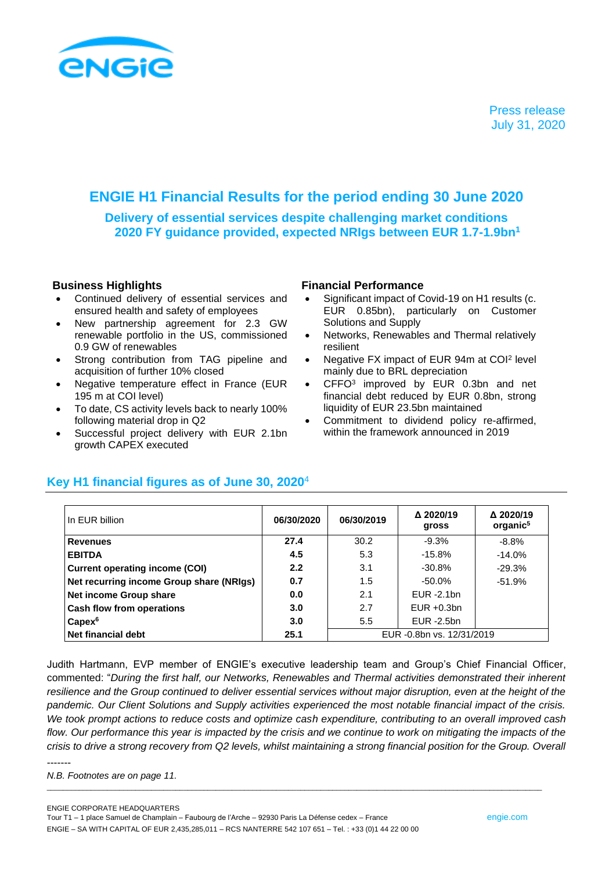

# **ENGIE H1 Financial Results for the period ending 30 June 2020**

**Delivery of essential services despite challenging market conditions 2020 FY guidance provided, expected NRIgs between EUR 1.7-1.9bn<sup>1</sup>**

- Continued delivery of essential services and ensured health and safety of employees
- New partnership agreement for 2.3 GW renewable portfolio in the US, commissioned 0.9 GW of renewables
- Strong contribution from TAG pipeline and acquisition of further 10% closed
- Negative temperature effect in France (EUR 195 m at COI level)
- To date, CS activity levels back to nearly 100% following material drop in Q2
- Successful project delivery with EUR 2.1bn growth CAPEX executed

## **Business Highlights Financial Performance**

- Significant impact of Covid-19 on H1 results (c. EUR 0.85bn), particularly on Customer Solutions and Supply
- Networks, Renewables and Thermal relatively resilient
- Negative FX impact of EUR 94m at COI<sup>2</sup> level mainly due to BRL depreciation
- CFFO<sup>3</sup> improved by EUR 0.3bn and net financial debt reduced by EUR 0.8bn, strong liquidity of EUR 23.5bn maintained
- Commitment to dividend policy re-affirmed, within the framework announced in 2019

| In EUR billion                           | 06/30/2020 | 06/30/2019                | △ 2020/19<br>gross | Δ 2020/19<br>organic <sup>5</sup> |  |
|------------------------------------------|------------|---------------------------|--------------------|-----------------------------------|--|
| <b>Revenues</b>                          | 27.4       | 30.2                      | $-9.3%$            | $-8.8%$                           |  |
| <b>EBITDA</b>                            | 4.5        | 5.3                       | $-15.8%$           | $-14.0%$                          |  |
| <b>Current operating income (COI)</b>    | 2.2        | 3.1                       | $-30.8%$           | $-29.3%$                          |  |
| Net recurring income Group share (NRIgs) | 0.7        | 1.5                       | $-50.0\%$          | $-51.9%$                          |  |
| Net income Group share                   | 0.0        | 2.1                       | $EUR - 2.1bn$      |                                   |  |
| Cash flow from operations                | 3.0        | 2.7                       | $EUR + 0.3bn$      |                                   |  |
| $Capex^6$                                | 3.0        | 5.5                       | EUR -2.5bn         |                                   |  |
| Net financial debt                       | 25.1       | EUR -0.8bn vs. 12/31/2019 |                    |                                   |  |

## **Key H1 financial figures as of June 30, 2020**<sup>4</sup>

Judith Hartmann, EVP member of ENGIE's executive leadership team and Group's Chief Financial Officer, commented: "*During the first half, our Networks, Renewables and Thermal activities demonstrated their inherent*  resilience and the Group continued to deliver essential services without major disruption, even at the height of the *pandemic. Our Client Solutions and Supply activities experienced the most notable financial impact of the crisis. We took prompt actions to reduce costs and optimize cash expenditure, contributing to an overall improved cash*  flow. Our performance this year is *impacted by the crisis and we continue to work on mitigating the impacts of the crisis to drive a strong recovery from Q2 levels, whilst maintaining a strong financial position for the Group. Overall* 

\_\_\_\_\_\_\_\_\_\_\_\_\_\_\_\_\_\_\_\_\_\_\_\_\_\_\_\_\_\_\_\_\_\_\_\_\_\_\_\_\_\_\_\_\_\_\_\_\_\_\_\_\_\_\_\_\_\_\_\_\_\_\_\_\_\_\_\_\_\_\_\_\_\_\_\_\_\_\_\_\_\_\_\_\_\_\_\_\_\_\_\_\_\_\_\_\_\_\_\_\_\_\_\_\_\_\_\_\_\_\_\_\_\_\_\_\_\_\_\_\_\_\_

-------

*N.B. Footnotes are on page 11.*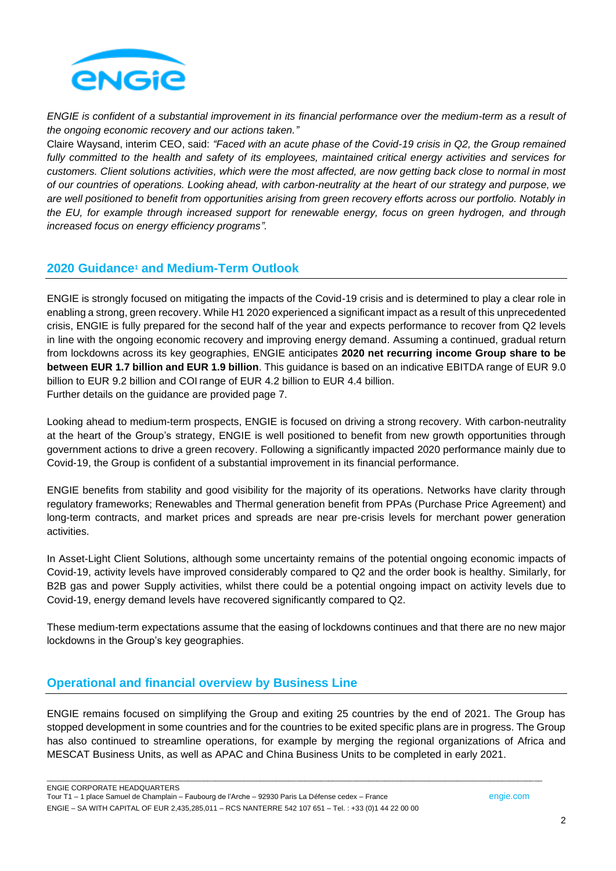

*ENGIE is confident of a substantial improvement in its financial performance over the medium-term as a result of the ongoing economic recovery and our actions taken."*

Claire Waysand, interim CEO, said: *"Faced with an acute phase of the Covid-19 crisis in Q2, the Group remained*  fully committed to the health and safety of its employees, maintained critical energy activities and services for *customers. Client solutions activities, which were the most affected, are now getting back close to normal in most of our countries of operations. Looking ahead, with carbon-neutrality at the heart of our strategy and purpose, we are well positioned to benefit from opportunities arising from green recovery efforts across our portfolio. Notably in the EU, for example through increased support for renewable energy, focus on green hydrogen, and through increased focus on energy efficiency programs".*

## **2020 Guidance<sup>1</sup> and Medium-Term Outlook**

ENGIE is strongly focused on mitigating the impacts of the Covid-19 crisis and is determined to play a clear role in enabling a strong, green recovery. While H1 2020 experienced a significant impact as a result of this unprecedented crisis, ENGIE is fully prepared for the second half of the year and expects performance to recover from Q2 levels in line with the ongoing economic recovery and improving energy demand. Assuming a continued, gradual return from lockdowns across its key geographies, ENGIE anticipates **2020 net recurring income Group share to be between EUR 1.7 billion and EUR 1.9 billion**. This guidance is based on an indicative EBITDA range of EUR 9.0 billion to EUR 9.2 billion and COI range of EUR 4.2 billion to EUR 4.4 billion. Further details on the guidance are provided page 7.

Looking ahead to medium-term prospects, ENGIE is focused on driving a strong recovery. With carbon-neutrality at the heart of the Group's strategy, ENGIE is well positioned to benefit from new growth opportunities through government actions to drive a green recovery. Following a significantly impacted 2020 performance mainly due to Covid-19, the Group is confident of a substantial improvement in its financial performance.

ENGIE benefits from stability and good visibility for the majority of its operations. Networks have clarity through regulatory frameworks; Renewables and Thermal generation benefit from PPAs (Purchase Price Agreement) and long-term contracts, and market prices and spreads are near pre-crisis levels for merchant power generation activities.

In Asset-Light Client Solutions, although some uncertainty remains of the potential ongoing economic impacts of Covid-19, activity levels have improved considerably compared to Q2 and the order book is healthy. Similarly, for B2B gas and power Supply activities, whilst there could be a potential ongoing impact on activity levels due to Covid-19, energy demand levels have recovered significantly compared to Q2.

These medium-term expectations assume that the easing of lockdowns continues and that there are no new major lockdowns in the Group's key geographies.

## **Operational and financial overview by Business Line**

ENGIE remains focused on simplifying the Group and exiting 25 countries by the end of 2021. The Group has stopped development in some countries and for the countries to be exited specific plans are in progress. The Group has also continued to streamline operations, for example by merging the regional organizations of Africa and MESCAT Business Units, as well as APAC and China Business Units to be completed in early 2021.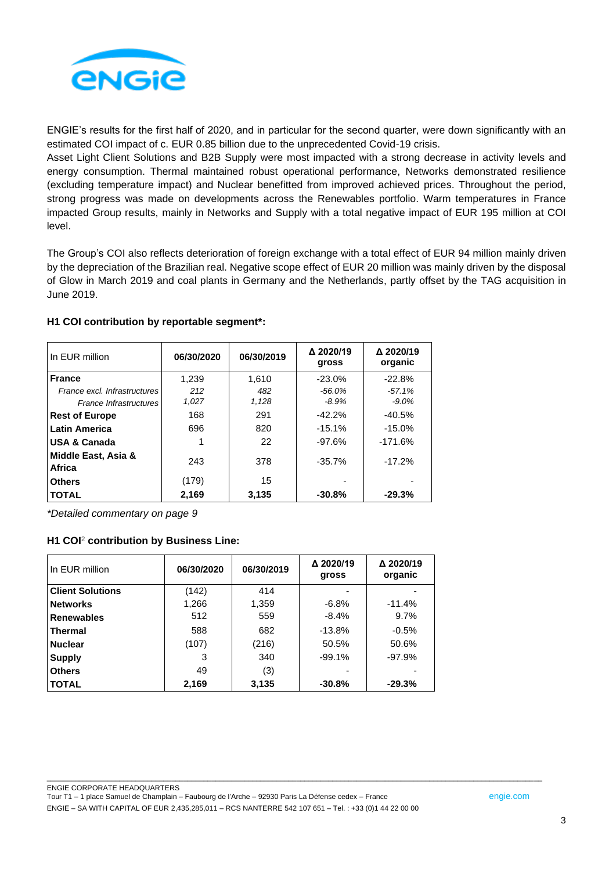

ENGIE's results for the first half of 2020, and in particular for the second quarter, were down significantly with an estimated COI impact of c. EUR 0.85 billion due to the unprecedented Covid-19 crisis.

Asset Light Client Solutions and B2B Supply were most impacted with a strong decrease in activity levels and energy consumption. Thermal maintained robust operational performance, Networks demonstrated resilience (excluding temperature impact) and Nuclear benefitted from improved achieved prices. Throughout the period, strong progress was made on developments across the Renewables portfolio. Warm temperatures in France impacted Group results, mainly in Networks and Supply with a total negative impact of EUR 195 million at COI level.

The Group's COI also reflects deterioration of foreign exchange with a total effect of EUR 94 million mainly driven by the depreciation of the Brazilian real. Negative scope effect of EUR 20 million was mainly driven by the disposal of Glow in March 2019 and coal plants in Germany and the Netherlands, partly offset by the TAG acquisition in June 2019.

| In EUR million                | 06/30/2020 | 06/30/2019 | Δ 2020/19<br>gross | Δ 2020/19<br>organic |
|-------------------------------|------------|------------|--------------------|----------------------|
| <b>France</b>                 | 1.239      | 1.610      | $-23.0%$           | $-22.8%$             |
| France excl. Infrastructures  | 212        | 482        | $-56.0\%$          | $-57.1%$             |
| France Infrastructures        | 1,027      | 1,128      | $-8.9\%$           | $-9.0%$              |
| <b>Rest of Europe</b>         | 168        | 291        | $-42.2%$           | $-40.5%$             |
| <b>Latin America</b>          | 696        | 820        | $-15.1%$           | $-15.0%$             |
| <b>USA &amp; Canada</b>       |            | 22         | $-97.6%$           | $-171.6%$            |
| Middle East, Asia &<br>Africa | 243        | 378        | $-35.7%$           | $-17.2%$             |
| <b>Others</b>                 | (179)      | 15         |                    |                      |
| <b>TOTAL</b>                  | 2,169      | 3,135      | $-30.8%$           | $-29.3%$             |

#### **H1 COI contribution by reportable segment\*:**

*\*Detailed commentary on page 9*

#### **H1 COI**<sup>2</sup> **contribution by Business Line:**

| l In EUR million   | 06/30/2020 | 06/30/2019 | Δ 2020/19<br>gross | Δ 2020/19<br>organic |
|--------------------|------------|------------|--------------------|----------------------|
| l Client Solutions | (142)      | 414        |                    |                      |
| <b>Networks</b>    | 1,266      | 1,359      | $-6.8%$            | $-11.4%$             |
| <b>Renewables</b>  | 512        | 559        | $-8.4\%$           | 9.7%                 |
| l Thermal          | 588        | 682        | $-13.8%$           | $-0.5%$              |
| <b>Nuclear</b>     | (107)      | (216)      | 50.5%              | 50.6%                |
| <b>Supply</b>      | 3          | 340        | $-99.1%$           | $-97.9%$             |
| <b>Others</b>      | 49         | (3)        |                    |                      |
| <b>TOTAL</b>       | 2,169      | 3,135      | $-30.8%$           | $-29.3%$             |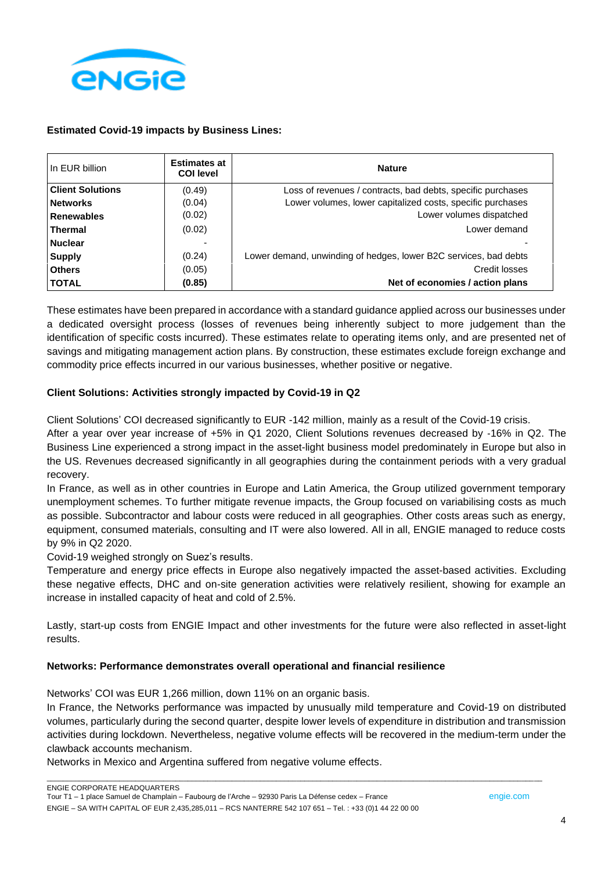

## **Estimated Covid-19 impacts by Business Lines:**

| In EUR billion          | <b>Estimates at</b><br><b>COI level</b> | <b>Nature</b>                                                    |
|-------------------------|-----------------------------------------|------------------------------------------------------------------|
| <b>Client Solutions</b> | (0.49)                                  | Loss of revenues / contracts, bad debts, specific purchases      |
| <b>Networks</b>         | (0.04)                                  | Lower volumes, lower capitalized costs, specific purchases       |
| <b>Renewables</b>       | (0.02)                                  | Lower volumes dispatched                                         |
| <b>Thermal</b>          | (0.02)                                  | Lower demand                                                     |
| <b>Nuclear</b>          |                                         |                                                                  |
| <b>Supply</b>           | (0.24)                                  | Lower demand, unwinding of hedges, lower B2C services, bad debts |
| <b>Others</b>           | (0.05)                                  | Credit losses                                                    |
| <b>TOTAL</b>            | (0.85)                                  | Net of economies / action plans                                  |

These estimates have been prepared in accordance with a standard guidance applied across our businesses under a dedicated oversight process (losses of revenues being inherently subject to more judgement than the identification of specific costs incurred). These estimates relate to operating items only, and are presented net of savings and mitigating management action plans. By construction, these estimates exclude foreign exchange and commodity price effects incurred in our various businesses, whether positive or negative.

## **Client Solutions: Activities strongly impacted by Covid-19 in Q2**

Client Solutions' COI decreased significantly to EUR -142 million, mainly as a result of the Covid-19 crisis.

After a year over year increase of +5% in Q1 2020, Client Solutions revenues decreased by ‐16% in Q2. The Business Line experienced a strong impact in the asset-light business model predominately in Europe but also in the US. Revenues decreased significantly in all geographies during the containment periods with a very gradual recovery.

In France, as well as in other countries in Europe and Latin America, the Group utilized government temporary unemployment schemes. To further mitigate revenue impacts, the Group focused on variabilising costs as much as possible. Subcontractor and labour costs were reduced in all geographies. Other costs areas such as energy, equipment, consumed materials, consulting and IT were also lowered. All in all, ENGIE managed to reduce costs by 9% in Q2 2020.

Covid-19 weighed strongly on Suez's results.

Temperature and energy price effects in Europe also negatively impacted the asset-based activities. Excluding these negative effects, DHC and on-site generation activities were relatively resilient, showing for example an increase in installed capacity of heat and cold of 2.5%.

Lastly, start-up costs from ENGIE Impact and other investments for the future were also reflected in asset-light results.

## **Networks: Performance demonstrates overall operational and financial resilience**

Networks' COI was EUR 1,266 million, down 11% on an organic basis.

In France, the Networks performance was impacted by unusually mild temperature and Covid-19 on distributed volumes, particularly during the second quarter, despite lower levels of expenditure in distribution and transmission activities during lockdown. Nevertheless, negative volume effects will be recovered in the medium-term under the clawback accounts mechanism.

\_\_\_\_\_\_\_\_\_\_\_\_\_\_\_\_\_\_\_\_\_\_\_\_\_\_\_\_\_\_\_\_\_\_\_\_\_\_\_\_\_\_\_\_\_\_\_\_\_\_\_\_\_\_\_\_\_\_\_\_\_\_\_\_\_\_\_\_\_\_\_\_\_\_\_\_\_\_\_\_\_\_\_\_\_\_\_\_\_\_\_\_\_\_\_\_\_\_\_\_\_\_\_\_\_\_\_\_\_\_\_\_\_\_\_\_\_\_\_\_\_\_\_

Networks in Mexico and Argentina suffered from negative volume effects.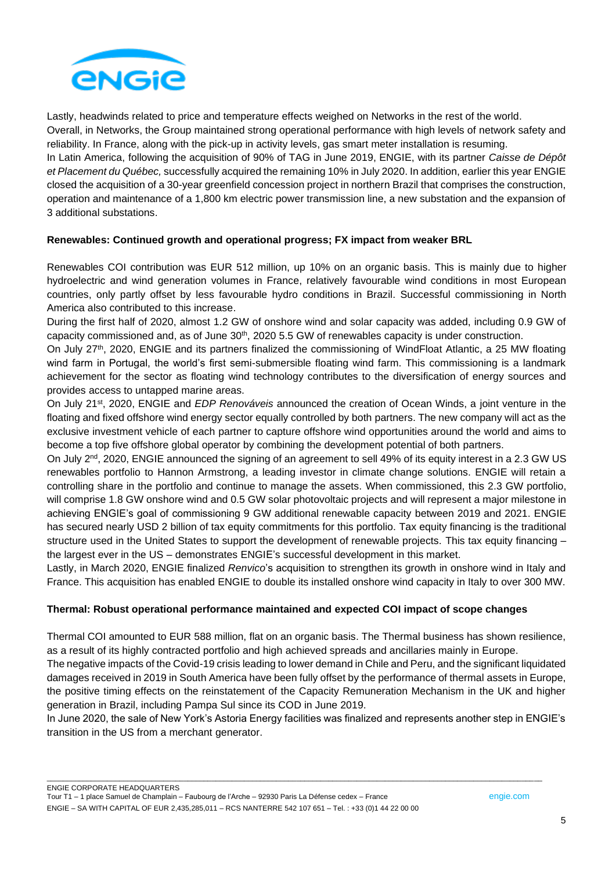

Lastly, headwinds related to price and temperature effects weighed on Networks in the rest of the world. Overall, in Networks, the Group maintained strong operational performance with high levels of network safety and reliability. In France, along with the pick-up in activity levels, gas smart meter installation is resuming.

In Latin America, following the acquisition of 90% of TAG in June 2019, ENGIE, with its partner *Caisse de Dépôt et Placement du Québec,* successfully acquired the remaining 10% in July 2020. In addition, earlier this year ENGIE closed the acquisition of a 30-year greenfield concession project in northern Brazil that comprises the construction, operation and maintenance of a 1,800 km electric power transmission line, a new substation and the expansion of 3 additional substations.

## **Renewables: Continued growth and operational progress; FX impact from weaker BRL**

Renewables COI contribution was EUR 512 million, up 10% on an organic basis. This is mainly due to higher hydroelectric and wind generation volumes in France, relatively favourable wind conditions in most European countries, only partly offset by less favourable hydro conditions in Brazil. Successful commissioning in North America also contributed to this increase.

During the first half of 2020, almost 1.2 GW of onshore wind and solar capacity was added, including 0.9 GW of capacity commissioned and, as of June  $30<sup>th</sup>$ , 2020 5.5 GW of renewables capacity is under construction.

On July 27th, 2020, ENGIE and its partners finalized the commissioning of WindFloat Atlantic, a 25 MW floating wind farm in Portugal, the world's first semi-submersible floating wind farm. This commissioning is a landmark achievement for the sector as floating wind technology contributes to the diversification of energy sources and provides access to untapped marine areas.

On July 21st, 2020, ENGIE and *EDP Renováveis* announced the creation of Ocean Winds, a joint venture in the floating and fixed offshore wind energy sector equally controlled by both partners. The new company will act as the exclusive investment vehicle of each partner to capture offshore wind opportunities around the world and aims to become a top five offshore global operator by combining the development potential of both partners.

On July 2<sup>nd</sup>, 2020, ENGIE announced the signing of an agreement to sell 49% of its equity interest in a 2.3 GW US renewables portfolio to Hannon Armstrong, a leading investor in climate change solutions. ENGIE will retain a controlling share in the portfolio and continue to manage the assets. When commissioned, this 2.3 GW portfolio, will comprise 1.8 GW onshore wind and 0.5 GW solar photovoltaic projects and will represent a major milestone in achieving ENGIE's goal of commissioning 9 GW additional renewable capacity between 2019 and 2021. ENGIE has secured nearly USD 2 billion of tax equity commitments for this portfolio. Tax equity financing is the traditional structure used in the United States to support the development of renewable projects. This tax equity financing – the largest ever in the US – demonstrates ENGIE's successful development in this market.

Lastly, in March 2020, ENGIE finalized *Renvico*'s acquisition to strengthen its growth in onshore wind in Italy and France. This acquisition has enabled ENGIE to double its installed onshore wind capacity in Italy to over 300 MW.

## **Thermal: Robust operational performance maintained and expected COI impact of scope changes**

Thermal COI amounted to EUR 588 million, flat on an organic basis. The Thermal business has shown resilience, as a result of its highly contracted portfolio and high achieved spreads and ancillaries mainly in Europe.

The negative impacts of the Covid-19 crisis leading to lower demand in Chile and Peru, and the significant liquidated damages received in 2019 in South America have been fully offset by the performance of thermal assets in Europe, the positive timing effects on the reinstatement of the Capacity Remuneration Mechanism in the UK and higher generation in Brazil, including Pampa Sul since its COD in June 2019.

In June 2020, the sale of New York's Astoria Energy facilities was finalized and represents another step in ENGIE's transition in the US from a merchant generator.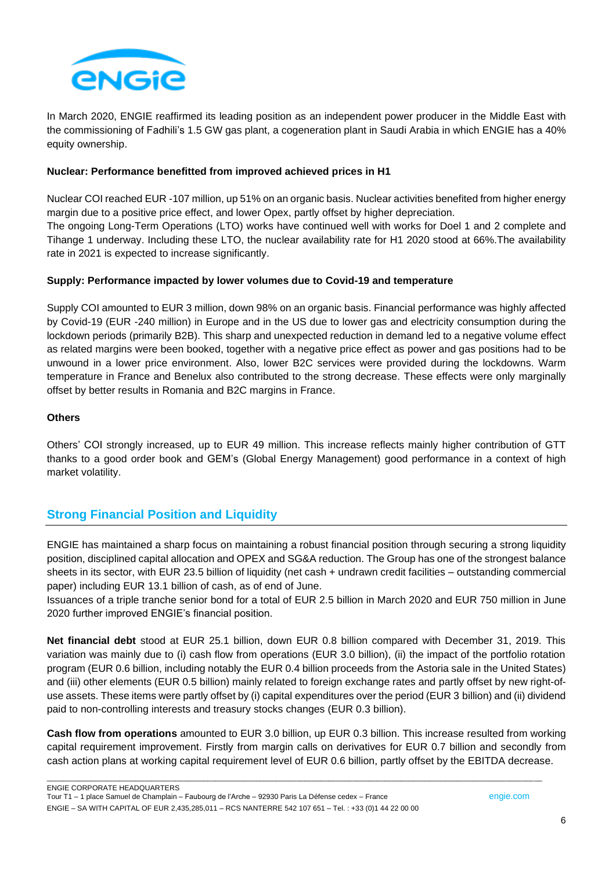

In March 2020, ENGIE reaffirmed its leading position as an independent power producer in the Middle East with the commissioning of Fadhili's 1.5 GW gas plant, a cogeneration plant in Saudi Arabia in which ENGIE has a 40% equity ownership.

#### **Nuclear: Performance benefitted from improved achieved prices in H1**

Nuclear COI reached EUR -107 million, up 51% on an organic basis. Nuclear activities benefited from higher energy margin due to a positive price effect, and lower Opex, partly offset by higher depreciation. The ongoing Long-Term Operations (LTO) works have continued well with works for Doel 1 and 2 complete and Tihange 1 underway. Including these LTO, the nuclear availability rate for H1 2020 stood at 66%.The availability rate in 2021 is expected to increase significantly.

#### **Supply: Performance impacted by lower volumes due to Covid-19 and temperature**

Supply COI amounted to EUR 3 million, down 98% on an organic basis. Financial performance was highly affected by Covid-19 (EUR -240 million) in Europe and in the US due to lower gas and electricity consumption during the lockdown periods (primarily B2B). This sharp and unexpected reduction in demand led to a negative volume effect as related margins were been booked, together with a negative price effect as power and gas positions had to be unwound in a lower price environment. Also, lower B2C services were provided during the lockdowns. Warm temperature in France and Benelux also contributed to the strong decrease. These effects were only marginally offset by better results in Romania and B2C margins in France.

#### **Others**

Others' COI strongly increased, up to EUR 49 million. This increase reflects mainly higher contribution of GTT thanks to a good order book and GEM's (Global Energy Management) good performance in a context of high market volatility.

## **Strong Financial Position and Liquidity**

ENGIE has maintained a sharp focus on maintaining a robust financial position through securing a strong liquidity position, disciplined capital allocation and OPEX and SG&A reduction. The Group has one of the strongest balance sheets in its sector, with EUR 23.5 billion of liquidity (net cash + undrawn credit facilities – outstanding commercial paper) including EUR 13.1 billion of cash, as of end of June.

Issuances of a triple tranche senior bond for a total of EUR 2.5 billion in March 2020 and EUR 750 million in June 2020 further improved ENGIE's financial position.

**Net financial debt** stood at EUR 25.1 billion, down EUR 0.8 billion compared with December 31, 2019. This variation was mainly due to (i) cash flow from operations (EUR 3.0 billion), (ii) the impact of the portfolio rotation program (EUR 0.6 billion, including notably the EUR 0.4 billion proceeds from the Astoria sale in the United States) and (iii) other elements (EUR 0.5 billion) mainly related to foreign exchange rates and partly offset by new right-ofuse assets. These items were partly offset by (i) capital expenditures over the period (EUR 3 billion) and (ii) dividend paid to non-controlling interests and treasury stocks changes (EUR 0.3 billion).

**Cash flow from operations** amounted to EUR 3.0 billion, up EUR 0.3 billion. This increase resulted from working capital requirement improvement. Firstly from margin calls on derivatives for EUR 0.7 billion and secondly from cash action plans at working capital requirement level of EUR 0.6 billion, partly offset by the EBITDA decrease.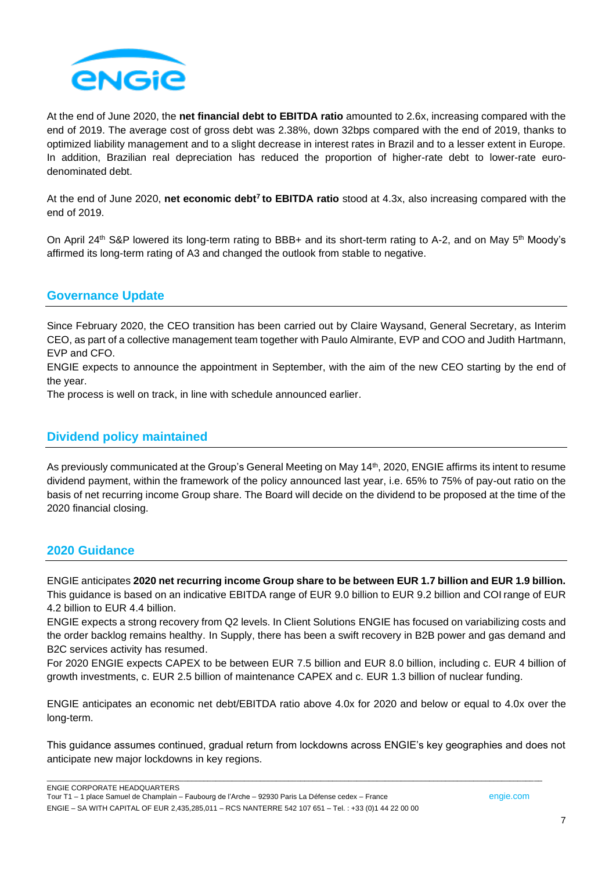

At the end of June 2020, the **net financial debt to EBITDA ratio** amounted to 2.6x, increasing compared with the end of 2019. The average cost of gross debt was 2.38%, down 32bps compared with the end of 2019, thanks to optimized liability management and to a slight decrease in interest rates in Brazil and to a lesser extent in Europe. In addition, Brazilian real depreciation has reduced the proportion of higher-rate debt to lower-rate eurodenominated debt.

At the end of June 2020, **net economic debt<sup>7</sup> to EBITDA ratio** stood at 4.3x, also increasing compared with the end of 2019.

On April 24<sup>th</sup> S&P lowered its long-term rating to BBB+ and its short-term rating to A-2, and on May 5<sup>th</sup> Moody's affirmed its long-term rating of A3 and changed the outlook from stable to negative.

## **Governance Update**

Since February 2020, the CEO transition has been carried out by Claire Waysand, General Secretary, as Interim CEO, as part of a collective management team together with Paulo Almirante, EVP and COO and Judith Hartmann, EVP and CFO.

ENGIE expects to announce the appointment in September, with the aim of the new CEO starting by the end of the year.

The process is well on track, in line with schedule announced earlier.

## **Dividend policy maintained**

As previously communicated at the Group's General Meeting on May 14<sup>th</sup>, 2020, ENGIE affirms its intent to resume dividend payment, within the framework of the policy announced last year, i.e. 65% to 75% of pay-out ratio on the basis of net recurring income Group share. The Board will decide on the dividend to be proposed at the time of the 2020 financial closing.

## **2020 Guidance**

ENGIE anticipates **2020 net recurring income Group share to be between EUR 1.7 billion and EUR 1.9 billion.** This guidance is based on an indicative EBITDA range of EUR 9.0 billion to EUR 9.2 billion and COI range of EUR 4.2 billion to EUR 4.4 billion.

ENGIE expects a strong recovery from Q2 levels. In Client Solutions ENGIE has focused on variabilizing costs and the order backlog remains healthy. In Supply, there has been a swift recovery in B2B power and gas demand and B2C services activity has resumed.

For 2020 ENGIE expects CAPEX to be between EUR 7.5 billion and EUR 8.0 billion, including c. EUR 4 billion of growth investments, c. EUR 2.5 billion of maintenance CAPEX and c. EUR 1.3 billion of nuclear funding.

ENGIE anticipates an economic net debt/EBITDA ratio above 4.0x for 2020 and below or equal to 4.0x over the long-term.

This guidance assumes continued, gradual return from lockdowns across ENGIE's key geographies and does not anticipate new major lockdowns in key regions.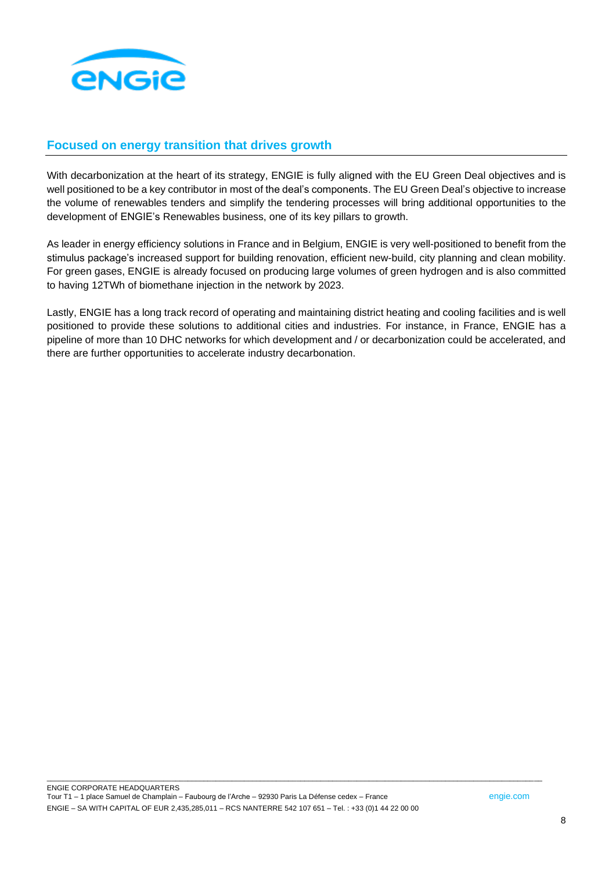

## **Focused on energy transition that drives growth**

With decarbonization at the heart of its strategy, ENGIE is fully aligned with the EU Green Deal objectives and is well positioned to be a key contributor in most of the deal's components. The EU Green Deal's objective to increase the volume of renewables tenders and simplify the tendering processes will bring additional opportunities to the development of ENGIE's Renewables business, one of its key pillars to growth.

As leader in energy efficiency solutions in France and in Belgium, ENGIE is very well-positioned to benefit from the stimulus package's increased support for building renovation, efficient new-build, city planning and clean mobility. For green gases, ENGIE is already focused on producing large volumes of green hydrogen and is also committed to having 12TWh of biomethane injection in the network by 2023.

Lastly, ENGIE has a long track record of operating and maintaining district heating and cooling facilities and is well positioned to provide these solutions to additional cities and industries. For instance, in France, ENGIE has a pipeline of more than 10 DHC networks for which development and / or decarbonization could be accelerated, and there are further opportunities to accelerate industry decarbonation.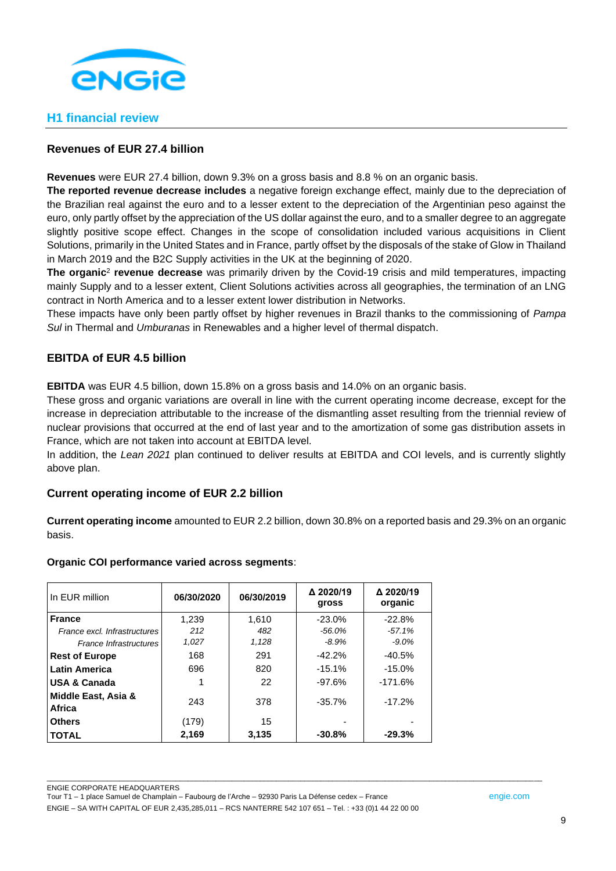

## **H1 financial review**

## **Revenues of EUR 27.4 billion**

**Revenues** were EUR 27.4 billion, down 9.3% on a gross basis and 8.8 % on an organic basis.

**The reported revenue decrease includes** a negative foreign exchange effect, mainly due to the depreciation of the Brazilian real against the euro and to a lesser extent to the depreciation of the Argentinian peso against the euro, only partly offset by the appreciation of the US dollar against the euro, and to a smaller degree to an aggregate slightly positive scope effect. Changes in the scope of consolidation included various acquisitions in Client Solutions, primarily in the United States and in France, partly offset by the disposals of the stake of Glow in Thailand in March 2019 and the B2C Supply activities in the UK at the beginning of 2020.

**The organic**<sup>2</sup> **revenue decrease** was primarily driven by the Covid-19 crisis and mild temperatures, impacting mainly Supply and to a lesser extent, Client Solutions activities across all geographies, the termination of an LNG contract in North America and to a lesser extent lower distribution in Networks.

These impacts have only been partly offset by higher revenues in Brazil thanks to the commissioning of *Pampa Sul* in Thermal and *Umburanas* in Renewables and a higher level of thermal dispatch.

## **EBITDA of EUR 4.5 billion**

**EBITDA** was EUR 4.5 billion, down 15.8% on a gross basis and 14.0% on an organic basis.

These gross and organic variations are overall in line with the current operating income decrease, except for the increase in depreciation attributable to the increase of the dismantling asset resulting from the triennial review of nuclear provisions that occurred at the end of last year and to the amortization of some gas distribution assets in France, which are not taken into account at EBITDA level.

In addition, the *Lean 2021* plan continued to deliver results at EBITDA and COI levels, and is currently slightly above plan.

## **Current operating income of EUR 2.2 billion**

**Current operating income** amounted to EUR 2.2 billion, down 30.8% on a reported basis and 29.3% on an organic basis.

\_\_\_\_\_\_\_\_\_\_\_\_\_\_\_\_\_\_\_\_\_\_\_\_\_\_\_\_\_\_\_\_\_\_\_\_\_\_\_\_\_\_\_\_\_\_\_\_\_\_\_\_\_\_\_\_\_\_\_\_\_\_\_\_\_\_\_\_\_\_\_\_\_\_\_\_\_\_\_\_\_\_\_\_\_\_\_\_\_\_\_\_\_\_\_\_\_\_\_\_\_\_\_\_\_\_\_\_\_\_\_\_\_\_\_\_\_\_\_\_\_\_\_

## **Organic COI performance varied across segments**:

| In EUR million                | 06/30/2020 | 06/30/2019 | Δ 2020/19<br>gross | Δ 2020/19<br>organic |
|-------------------------------|------------|------------|--------------------|----------------------|
| <b>France</b>                 | 1.239      | 1,610      | $-23.0\%$          | $-22.8%$             |
| France excl. Infrastructures  | 212        | 482        | $-56.0\%$          | $-57.1%$             |
| <b>France Infrastructures</b> | 1,027      | 1,128      | $-8.9%$            | $-9.0%$              |
| <b>Rest of Europe</b>         | 168        | 291        | $-42.2%$           | $-40.5%$             |
| <b>Latin America</b>          | 696        | 820        | $-15.1%$           | $-15.0%$             |
| <b>USA &amp; Canada</b>       |            | 22         | $-97.6%$           | $-171.6%$            |
| Middle East, Asia &<br>Africa | 243        | 378        | $-35.7\%$          | $-17.2%$             |
| <b>Others</b>                 | (179)      | 15         |                    |                      |
| <b>TOTAL</b>                  | 2,169      | 3,135      | $-30.8%$           | $-29.3%$             |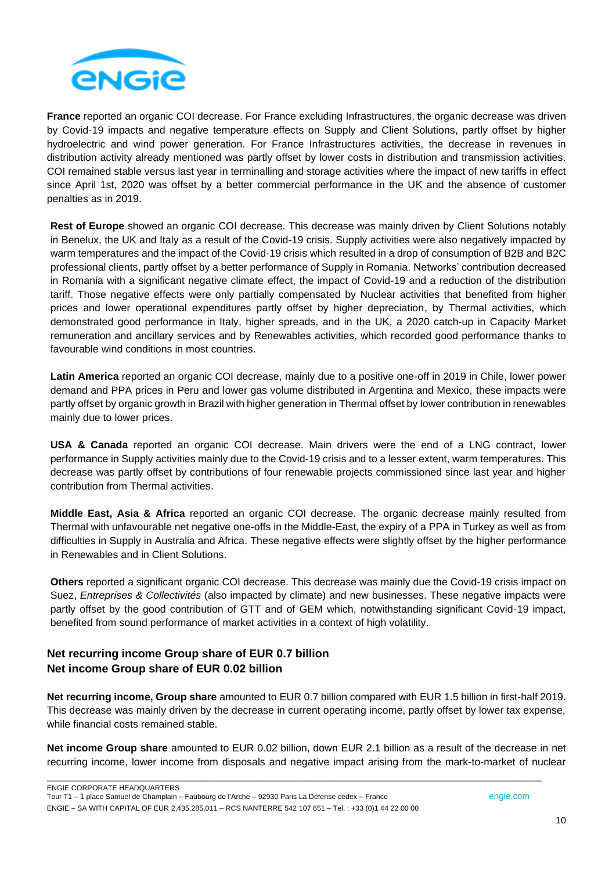

**France** reported an organic COI decrease. For France excluding Infrastructures, the organic decrease was driven by Covid-19 impacts and negative temperature effects on Supply and Client Solutions, partly offset by higher hydroelectric and wind power generation. For France Infrastructures activities, the decrease in revenues in distribution activity already mentioned was partly offset by lower costs in distribution and transmission activities. COI remained stable versus last year in terminalling and storage activities where the impact of new tariffs in effect since April 1st, 2020 was offset by a better commercial performance in the UK and the absence of customer penalties as in 2019.

**Rest of Europe** showed an organic COI decrease. This decrease was mainly driven by Client Solutions notably in Benelux, the UK and Italy as a result of the Covid-19 crisis. Supply activities were also negatively impacted by warm temperatures and the impact of the Covid-19 crisis which resulted in a drop of consumption of B2B and B2C professional clients, partly offset by a better performance of Supply in Romania. Networks' contribution decreased in Romania with a significant negative climate effect, the impact of Covid-19 and a reduction of the distribution tariff. Those negative effects were only partially compensated by Nuclear activities that benefited from higher prices and lower operational expenditures partly offset by higher depreciation, by Thermal activities, which demonstrated good performance in Italy, higher spreads, and in the UK, a 2020 catch-up in Capacity Market remuneration and ancillary services and by Renewables activities, which recorded good performance thanks to favourable wind conditions in most countries.

**Latin America** reported an organic COI decrease, mainly due to a positive one-off in 2019 in Chile, lower power demand and PPA prices in Peru and lower gas volume distributed in Argentina and Mexico, these impacts were partly offset by organic growth in Brazil with higher generation in Thermal offset by lower contribution in renewables mainly due to lower prices.

**USA & Canada** reported an organic COI decrease. Main drivers were the end of a LNG contract, lower performance in Supply activities mainly due to the Covid-19 crisis and to a lesser extent, warm temperatures. This decrease was partly offset by contributions of four renewable projects commissioned since last year and higher contribution from Thermal activities.

**Middle East, Asia & Africa** reported an organic COI decrease. The organic decrease mainly resulted from Thermal with unfavourable net negative one-offs in the Middle-East, the expiry of a PPA in Turkey as well as from difficulties in Supply in Australia and Africa. These negative effects were slightly offset by the higher performance in Renewables and in Client Solutions.

**Others** reported a significant organic COI decrease. This decrease was mainly due the Covid-19 crisis impact on Suez, *Entreprises & Collectivités* (also impacted by climate) and new businesses. These negative impacts were partly offset by the good contribution of GTT and of GEM which, notwithstanding significant Covid-19 impact, benefited from sound performance of market activities in a context of high volatility.

## **Net recurring income Group share of EUR 0.7 billion Net income Group share of EUR 0.02 billion**

**Net recurring income, Group share** amounted to EUR 0.7 billion compared with EUR 1.5 billion in first-half 2019. This decrease was mainly driven by the decrease in current operating income, partly offset by lower tax expense, while financial costs remained stable.

**Net income Group share** amounted to EUR 0.02 billion, down EUR 2.1 billion as a result of the decrease in net recurring income, lower income from disposals and negative impact arising from the mark-to-market of nuclear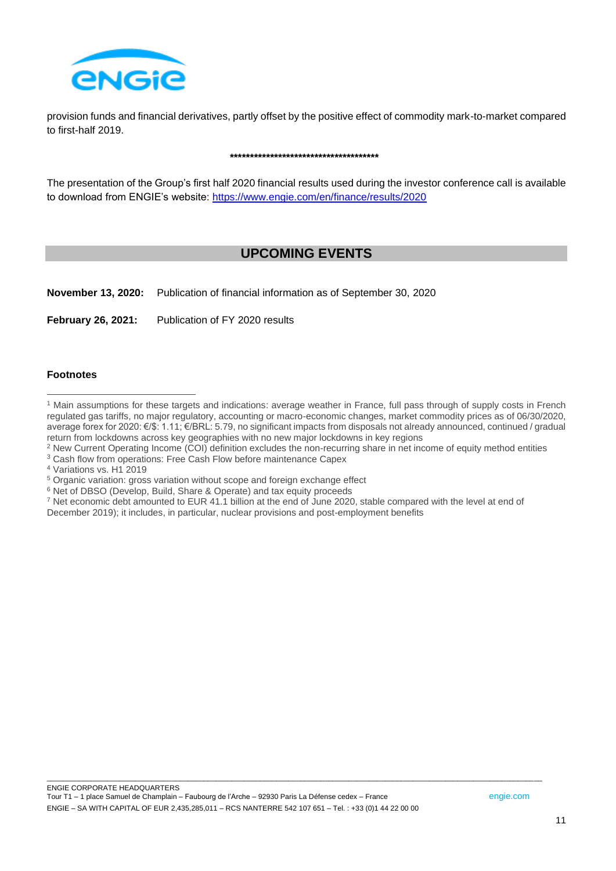

provision funds and financial derivatives, partly offset by the positive effect of commodity mark-to-market compared to first-half 2019.

#### **\*\*\*\*\*\*\*\*\*\*\*\*\*\*\*\*\*\*\*\*\*\*\*\*\*\*\*\*\*\*\*\*\*\*\*\*\***

The presentation of the Group's first half 2020 financial results used during the investor conference call is available to download from ENGIE's website: <https://www.engie.com/en/finance/results/2020>

# **UPCOMING EVENTS**

**November 13, 2020:** Publication of financial information as of September 30, 2020

**February 26, 2021:** Publication of FY 2020 results

#### **Footnotes**

- <sup>2</sup> New Current Operating Income (COI) definition excludes the non-recurring share in net income of equity method entities
- <sup>3</sup> Cash flow from operations: Free Cash Flow before maintenance Capex
- <sup>4</sup> Variations vs. H1 2019
- <sup>5</sup> Organic variation: gross variation without scope and foreign exchange effect
- <sup>6</sup> Net of DBSO (Develop, Build, Share & Operate) and tax equity proceeds
- <sup>7</sup> Net economic debt amounted to EUR 41.1 billion at the end of June 2020, stable compared with the level at end of December 2019); it includes, in particular, nuclear provisions and post-employment benefits

<sup>&</sup>lt;sup>1</sup> Main assumptions for these targets and indications: average weather in France, full pass through of supply costs in French regulated gas tariffs, no major regulatory, accounting or macro-economic changes, market commodity prices as of 06/30/2020, average forex for 2020: €/\$: 1.11; €/BRL: 5.79, no significant impacts from disposals not already announced, continued / gradual return from lockdowns across key geographies with no new major lockdowns in key regions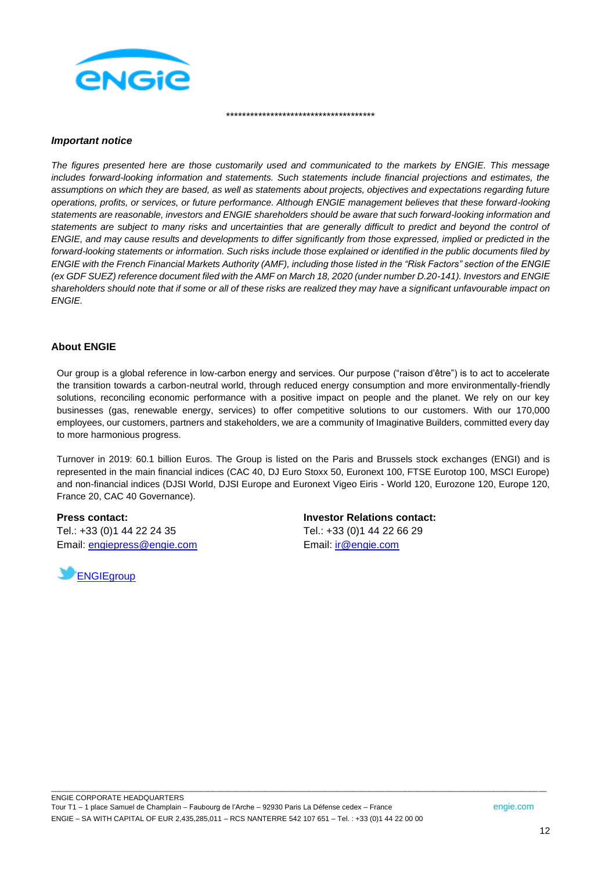

#### *Important notice*

*The figures presented here are those customarily used and communicated to the markets by ENGIE. This message includes forward-looking information and statements. Such statements include financial projections and estimates, the assumptions on which they are based, as well as statements about projects, objectives and expectations regarding future operations, profits, or services, or future performance. Although ENGIE management believes that these forward-looking statements are reasonable, investors and ENGIE shareholders should be aware that such forward-looking information and statements are subject to many risks and uncertainties that are generally difficult to predict and beyond the control of ENGIE, and may cause results and developments to differ significantly from those expressed, implied or predicted in the forward-looking statements or information. Such risks include those explained or identified in the public documents filed by ENGIE with the French Financial Markets Authority (AMF), including those listed in the "Risk Factors" section of the ENGIE (ex GDF SUEZ) reference document filed with the AMF on March 18, 2020 (under number D.20-141). Investors and ENGIE shareholders should note that if some or all of these risks are realized they may have a significant unfavourable impact on ENGIE.*

\*\*\*\*\*\*\*\*\*\*\*\*\*\*\*\*\*\*\*\*\*\*\*\*\*\*\*\*\*\*\*\*\*\*\*\*\*

#### **About ENGIE**

Our group is a global reference in low-carbon energy and services. Our purpose ("raison d'être") is to act to accelerate the transition towards a carbon-neutral world, through reduced energy consumption and more environmentally-friendly solutions, reconciling economic performance with a positive impact on people and the planet. We rely on our key businesses (gas, renewable energy, services) to offer competitive solutions to our customers. With our 170,000 employees, our customers, partners and stakeholders, we are a community of Imaginative Builders, committed every day to more harmonious progress.

Turnover in 2019: 60.1 billion Euros. The Group is listed on the Paris and Brussels stock exchanges (ENGI) and is represented in the main financial indices (CAC 40, DJ Euro Stoxx 50, Euronext 100, FTSE Eurotop 100, MSCI Europe) and non-financial indices (DJSI World, DJSI Europe and Euronext Vigeo Eiris - World 120, Eurozone 120, Europe 120, France 20, CAC 40 Governance).

**Press contact:** Tel.: +33 (0)1 44 22 24 35 Email: [engiepress@engie.com](mailto:engiepress@engie.com)



**Investor Relations contact:** Tel.: +33 (0)1 44 22 66 29 Email: [ir@engie.com](mailto:ir@engie.com)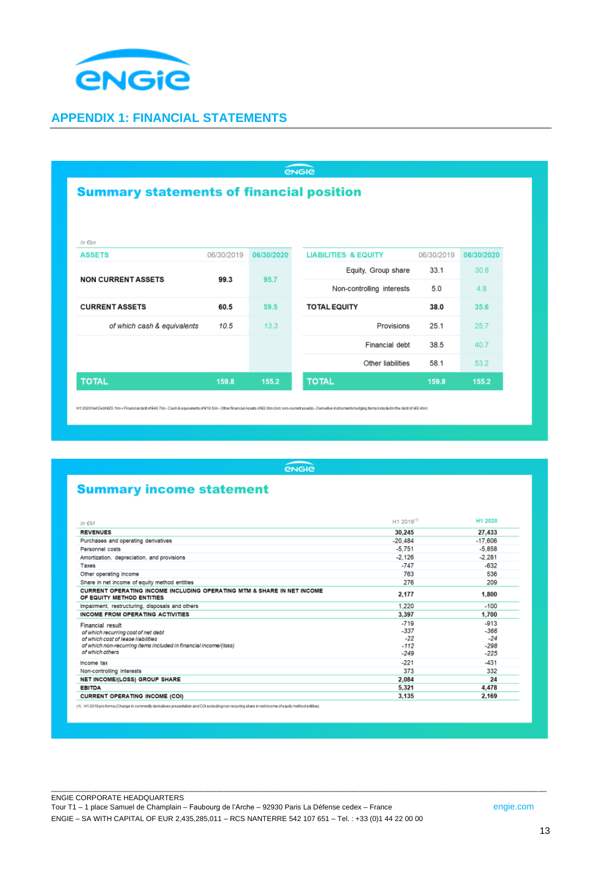

## **APPENDIX 1: FINANCIAL STATEMENTS**

| <b><i><u>ENGIE</u></i></b>                      |            |            |                                 |            |            |
|-------------------------------------------------|------------|------------|---------------------------------|------------|------------|
| <b>Summary statements of financial position</b> |            |            |                                 |            |            |
|                                                 |            |            |                                 |            |            |
| In Ebn                                          |            |            |                                 |            |            |
| <b>ASSETS</b>                                   | 06/30/2019 | 06/30/2020 | <b>LIABILITIES &amp; EQUITY</b> | 06/30/2019 | 06/30/2020 |
|                                                 |            |            | Equity, Group share             | 33.1       | 30.8       |
| <b>NON CURRENT ASSETS</b>                       | 99.3       | 95.7       | Non-controlling interests       | 5.0        | 4.8        |
| <b>CURRENT ASSETS</b>                           | 60.5       | 59.5       | <b>TOTAL EQUITY</b>             | 38.0       | 35.6       |
| of which cash & equivalents                     | 10.5       | 13.3       | Provisions                      | 25.1       | 25.7       |
|                                                 |            |            | Financial debt                  | 38.5       | 40.7       |
|                                                 |            |            | Other liabilities               | 58.1       | 53.2       |
| <b>TOTAL</b>                                    | 159.8      | 155.2      | <b>TOTAL</b>                    | 159.8      | 155.2      |

H1 2020 Net Date E25.1bn = Financial dett of 640.7bn - Cash & equivalents of 610.5bn - Other financial Asads of 62.0bn (incl.non-current assets) - Derivative instrumentshedging items included in the dett of (60.4bn)

engie

# **Summary income statement**

| $In \epsilon M$                                                                                                                                                   | H1 2019 <sup>(1)</sup>              | H1 2020                             |
|-------------------------------------------------------------------------------------------------------------------------------------------------------------------|-------------------------------------|-------------------------------------|
| <b>REVENUES</b>                                                                                                                                                   | 30.245                              | 27,433                              |
| Purchases and operating derivatives                                                                                                                               | $-20.484$                           | $-17,606$                           |
| Personnel costs                                                                                                                                                   | $-5.751$                            | $-5.858$                            |
| Amortization, depreciation, and provisions                                                                                                                        | $-2.126$                            | $-2.281$                            |
| Taxes                                                                                                                                                             | $-747$                              | $-632$                              |
| Other operating income                                                                                                                                            | 763                                 | 536                                 |
| Share in net income of equity method entities                                                                                                                     | 276                                 | 209                                 |
| CURRENT OPERATING INCOME INCLUDING OPERATING MTM & SHARE IN NET INCOME<br>OF EQUITY METHOD ENTITIES                                                               | 2.177                               | 1,800                               |
| Impairment, restructuring, disposals and others                                                                                                                   | 1.220                               | $-100$                              |
| <b>INCOME FROM OPERATING ACTIVITIES</b>                                                                                                                           | 3.397                               | 1.700                               |
| Financial result<br>of which recurring cost of net debt<br>of which cost of lease liabilities<br>of which non-recurring items included in financial income/(loss) | $-719$<br>$-337$<br>$-22$<br>$-112$ | $-913$<br>$-366$<br>$-24$<br>$-298$ |
| of which others                                                                                                                                                   | $-249$                              | $-225$                              |
| Income tax                                                                                                                                                        | $-221$                              | $-431$                              |
| Non-controlling interests                                                                                                                                         | 373                                 | 332                                 |
| NET INCOME/(LOSS) GROUP SHARE                                                                                                                                     | 2.084                               | 24                                  |
| <b>EBITDA</b>                                                                                                                                                     | 5,321                               | 4,478                               |
| <b>CURRENT OPERATING INCOME (COI)</b>                                                                                                                             | 3.135                               | 2.169                               |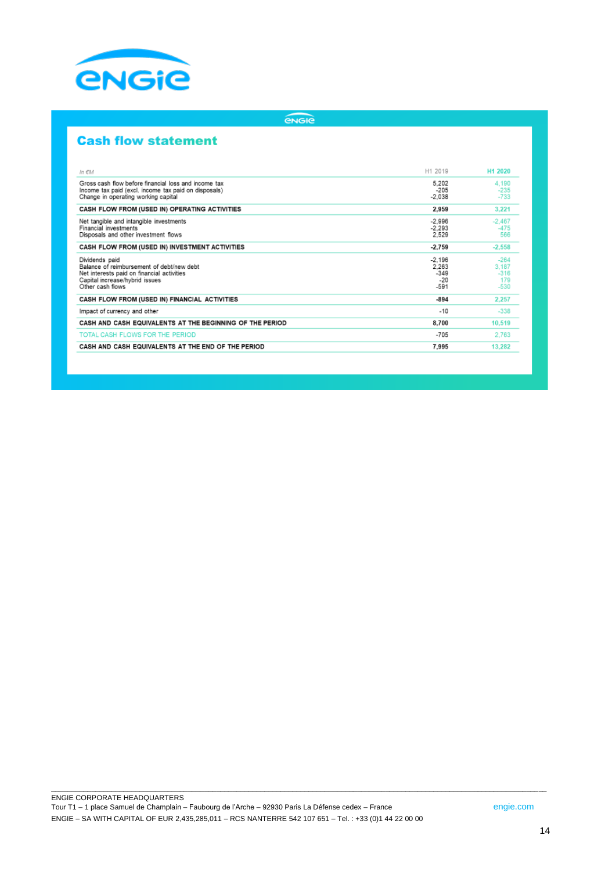

## engie

# **Cash flow statement**

| In EM                                                                                                                                                           | H1 2019                                        | H1 2020                                    |
|-----------------------------------------------------------------------------------------------------------------------------------------------------------------|------------------------------------------------|--------------------------------------------|
| Gross cash flow before financial loss and income tax<br>Income tax paid (excl. income tax paid on disposals)<br>Change in operating working capital             | 5,202<br>$-205$<br>$-2,038$                    | 4.190<br>$-235$<br>$-733$                  |
| CASH FLOW FROM (USED IN) OPERATING ACTIVITIES                                                                                                                   | 2.959                                          | 3,221                                      |
| Net tangible and intangible investments<br><b>Financial investments</b><br>Disposals and other investment flows                                                 | $-2.996$<br>$-2.293$<br>2,529                  | $-2.467$<br>$-475$<br>566                  |
| CASH FLOW FROM (USED IN) INVESTMENT ACTIVITIES                                                                                                                  | $-2.759$                                       | $-2,558$                                   |
| Dividends paid<br>Balance of reimbursement of debt/new debt<br>Net interests paid on financial activities<br>Capital increase/hybrid issues<br>Other cash flows | $-2.196$<br>2.263<br>$-349$<br>$-20$<br>$-591$ | $-264$<br>3.187<br>$-316$<br>179<br>$-530$ |
| CASH FLOW FROM (USED IN) FINANCIAL ACTIVITIES                                                                                                                   | $-894$                                         | 2.257                                      |
| Impact of currency and other                                                                                                                                    | $-10$                                          | $-338$                                     |
| CASH AND CASH EQUIVALENTS AT THE BEGINNING OF THE PERIOD                                                                                                        | 8,700                                          | 10,519                                     |
| TOTAL CASH FLOWS FOR THE PERIOD                                                                                                                                 | $-705$                                         | 2,763                                      |
| CASH AND CASH EQUIVALENTS AT THE END OF THE PERIOD                                                                                                              | 7.995                                          | 13,282                                     |